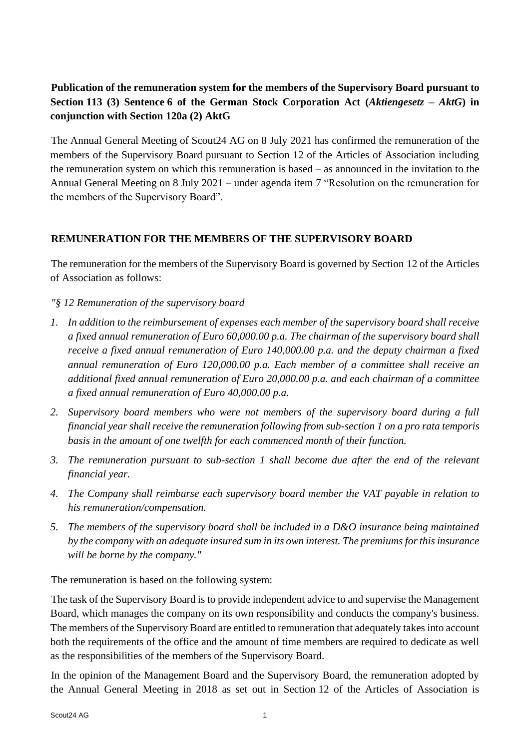## **Publication of the remuneration system for the members of the Supervisory Board pursuant to Section 113 (3) Sentence 6 of the German Stock Corporation Act (***Aktiengesetz – AktG***) in conjunction with Section 120a (2) AktG**

The Annual General Meeting of Scout24 AG on 8 July 2021 has confirmed the remuneration of the members of the Supervisory Board pursuant to Section 12 of the Articles of Association including the remuneration system on which this remuneration is based – as announced in the invitation to the Annual General Meeting on 8 July 2021 – under agenda item 7 "Resolution on the remuneration for the members of the Supervisory Board".

## **REMUNERATION FOR THE MEMBERS OF THE SUPERVISORY BOARD**

The remuneration for the members of the Supervisory Board is governed by Section 12 of the Articles of Association as follows:

## *"§ 12 Remuneration of the supervisory board*

- *1. In addition to the reimbursement of expenses each member of the supervisory board shall receive a fixed annual remuneration of Euro 60,000.00 p.a. The chairman of the supervisory board shall receive a fixed annual remuneration of Euro 140,000.00 p.a. and the deputy chairman a fixed annual remuneration of Euro 120,000.00 p.a. Each member of a committee shall receive an additional fixed annual remuneration of Euro 20,000.00 p.a. and each chairman of a committee a fixed annual remuneration of Euro 40,000.00 p.a.*
- *2. Supervisory board members who were not members of the supervisory board during a full financial year shall receive the remuneration following from sub-section 1 on a pro rata temporis basis in the amount of one twelfth for each commenced month of their function.*
- *3. The remuneration pursuant to sub-section 1 shall become due after the end of the relevant financial year.*
- *4. The Company shall reimburse each supervisory board member the VAT payable in relation to his remuneration/compensation.*
- *5. The members of the supervisory board shall be included in a D&O insurance being maintained by the company with an adequate insured sum in its own interest. The premiums for this insurance will be borne by the company."*

The remuneration is based on the following system:

The task of the Supervisory Board is to provide independent advice to and supervise the Management Board, which manages the company on its own responsibility and conducts the company's business. The members of the Supervisory Board are entitled to remuneration that adequately takes into account both the requirements of the office and the amount of time members are required to dedicate as well as the responsibilities of the members of the Supervisory Board.

In the opinion of the Management Board and the Supervisory Board, the remuneration adopted by the Annual General Meeting in 2018 as set out in Section 12 of the Articles of Association is